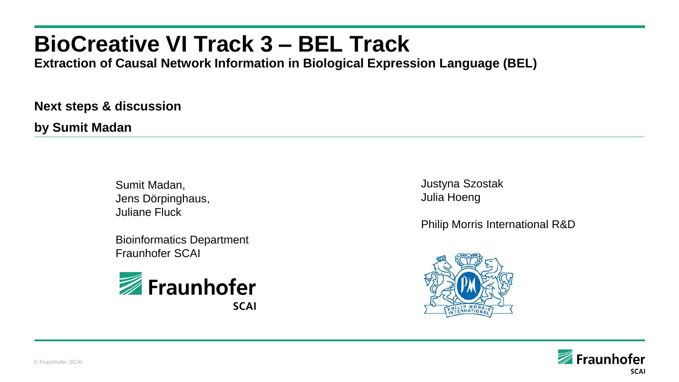# **BioCreative VI Track 3 – BEL Track**

**Extraction of Causal Network Information in Biological Expression Language (BEL)**

**Next steps & discussion**

**by Sumit Madan**

Sumit Madan, Jens Dörpinghaus, Juliane Fluck

Bioinformatics Department Fraunhofer SCAI



Justyna Szostak Julia Hoeng

Philip Morris International R&D



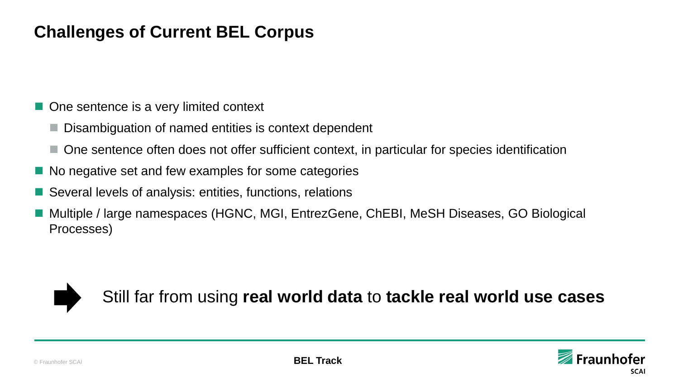## **Challenges of Current BEL Corpus**

- One sentence is a very limited context
	- Disambiguation of named entities is context dependent
	- One sentence often does not offer sufficient context, in particular for species identification
- No negative set and few examples for some categories
- Several levels of analysis: entities, functions, relations
- Multiple / large namespaces (HGNC, MGI, EntrezGene, ChEBI, MeSH Diseases, GO Biological Processes)



Still far from using **real world data** to **tackle real world use cases**

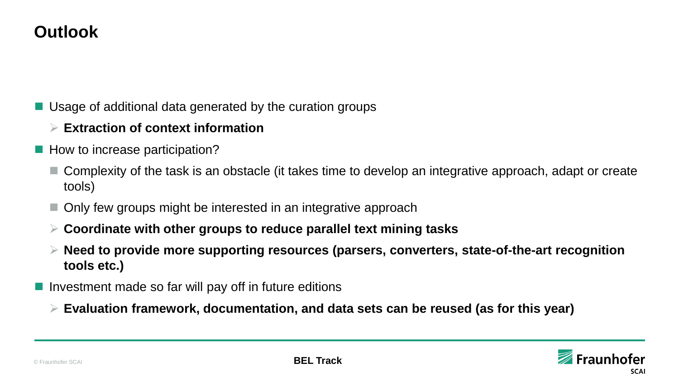## **Outlook**

- **Usage of additional data generated by the curation groups** 
	- **Extraction of context information**
- How to increase participation?
	- Complexity of the task is an obstacle (it takes time to develop an integrative approach, adapt or create tools)
	- Only few groups might be interested in an integrative approach
	- **Coordinate with other groups to reduce parallel text mining tasks**
	- **Need to provide more supporting resources (parsers, converters, state-of-the-art recognition tools etc.)**
- I Investment made so far will pay off in future editions
	- **Evaluation framework, documentation, and data sets can be reused (as for this year)**

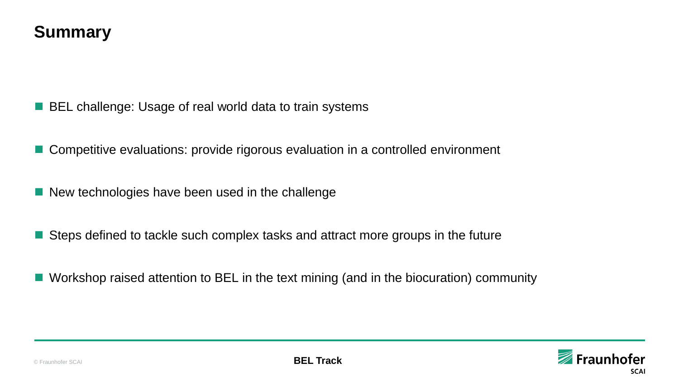### **Summary**

- BEL challenge: Usage of real world data to train systems
- Competitive evaluations: provide rigorous evaluation in a controlled environment
- New technologies have been used in the challenge
- Steps defined to tackle such complex tasks and attract more groups in the future
- Workshop raised attention to BEL in the text mining (and in the biocuration) community